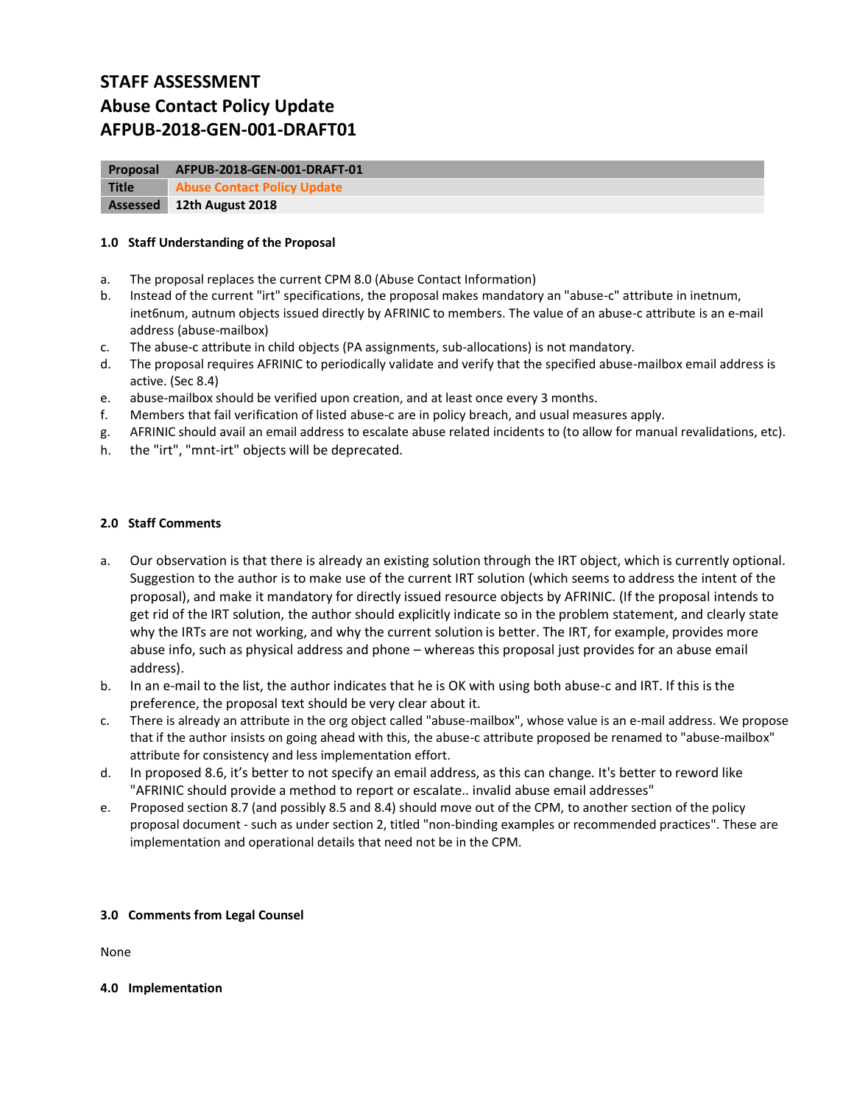# **STAFF ASSESSMENT Abuse Contact Policy Update AFPUB-2018-GEN-001-DRAFT01**

| <b>Proposal</b> | AFPUB-2018-GEN-001-DRAFT-01        |
|-----------------|------------------------------------|
| <b>Title</b>    | <b>Abuse Contact Policy Update</b> |
| Assessed        | 12th August 2018                   |

# **1.0 Staff Understanding of the Proposal**

- a. The proposal replaces the current CPM 8.0 (Abuse Contact Information)
- b. Instead of the current "irt" specifications, the proposal makes mandatory an "abuse-c" attribute in inetnum, inet6num, autnum objects issued directly by AFRINIC to members. The value of an abuse-c attribute is an e-mail address (abuse-mailbox)
- c. The abuse-c attribute in child objects (PA assignments, sub-allocations) is not mandatory.
- d. The proposal requires AFRINIC to periodically validate and verify that the specified abuse-mailbox email address is active. (Sec 8.4)
- e. abuse-mailbox should be verified upon creation, and at least once every 3 months.
- f. Members that fail verification of listed abuse-c are in policy breach, and usual measures apply.
- g. AFRINIC should avail an email address to escalate abuse related incidents to (to allow for manual revalidations, etc).
- h. the "irt", "mnt-irt" objects will be deprecated.

# **2.0 Staff Comments**

- a. Our observation is that there is already an existing solution through the IRT object, which is currently optional. Suggestion to the author is to make use of the current IRT solution (which seems to address the intent of the proposal), and make it mandatory for directly issued resource objects by AFRINIC. (If the proposal intends to get rid of the IRT solution, the author should explicitly indicate so in the problem statement, and clearly state why the IRTs are not working, and why the current solution is better. The IRT, for example, provides more abuse info, such as physical address and phone – whereas this proposal just provides for an abuse email address).
- b. In an e-mail to the list, the author indicates that he is OK with using both abuse-c and IRT. If this is the preference, the proposal text should be very clear about it.
- c. There is already an attribute in the org object called "abuse-mailbox", whose value is an e-mail address. We propose that if the author insists on going ahead with this, the abuse-c attribute proposed be renamed to "abuse-mailbox" attribute for consistency and less implementation effort.
- d. In proposed 8.6, it's better to not specify an email address, as this can change. It's better to reword like "AFRINIC should provide a method to report or escalate.. invalid abuse email addresses"
- e. Proposed section 8.7 (and possibly 8.5 and 8.4) should move out of the CPM, to another section of the policy proposal document - such as under section 2, titled "non-binding examples or recommended practices". These are implementation and operational details that need not be in the CPM.

#### **3.0 Comments from Legal Counsel**

None

**4.0 Implementation**